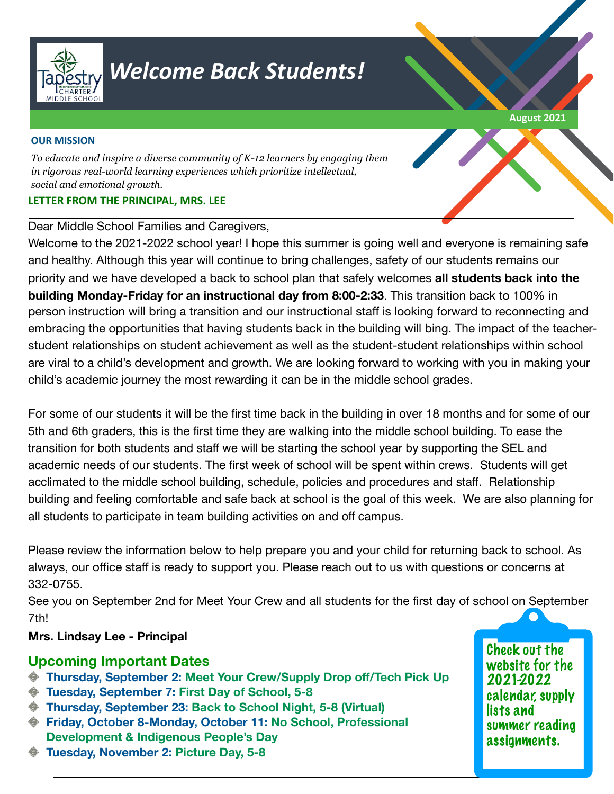

# *Welcome Back Students!*

#### **OUR MISSION**

*To educate and inspire a diverse community of K-12 learners by engaging them in rigorous real-world learning experiences which prioritize intellectual, social and emotional growth.* 

### **LETTER FROM THE PRINCIPAL, MRS. LEE**

#### Dear Middle School Families and Caregivers,

Welcome to the 2021-2022 school year! I hope this summer is going well and everyone is remaining safe and healthy. Although this year will continue to bring challenges, safety of our students remains our priority and we have developed a back to school plan that safely welcomes **all students back into the building Monday-Friday for an instructional day from 8:00-2:33**. This transition back to 100% in person instruction will bring a transition and our instructional staff is looking forward to reconnecting and embracing the opportunities that having students back in the building will bing. The impact of the teacherstudent relationships on student achievement as well as the student-student relationships within school are viral to a child's development and growth. We are looking forward to working with you in making your child's academic journey the most rewarding it can be in the middle school grades.

For some of our students it will be the first time back in the building in over 18 months and for some of our 5th and 6th graders, this is the first time they are walking into the middle school building. To ease the transition for both students and staff we will be starting the school year by supporting the SEL and academic needs of our students. The first week of school will be spent within crews. Students will get acclimated to the middle school building, schedule, policies and procedures and staff. Relationship building and feeling comfortable and safe back at school is the goal of this week. We are also planning for all students to participate in team building activities on and off campus.

Please review the information below to help prepare you and your child for returning back to school. As always, our office staff is ready to support you. Please reach out to us with questions or concerns at 332-0755.

See you on September 2nd for Meet Your Crew and all students for the first day of school on September 7th!

## **Mrs. Lindsay Lee - Principal**

## **Upcoming Important Dates**

- **Thursday, September 2: Meet Your Crew/Supply Drop off/Tech Pick Up**
- **Tuesday, September 7: First Day of School, 5-8**
- **Thursday, September 23: Back to School Night, 5-8 (Virtual)**
- **Friday, October 8-Monday, October 11: No School, Professional Development & Indigenous People's Day**

Check out the website for the 2021-2022 calendar, supply lists and summer reading assignments.

**Tuesday, November 2: Picture Day, 5-8**

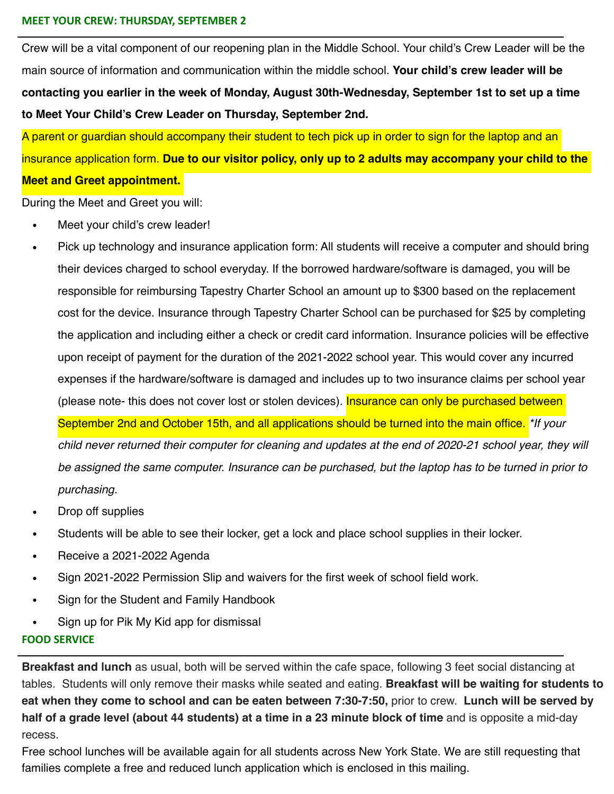#### **MEET YOUR CREW: THURSDAY, SEPTEMBER 2**

Crew will be a vital component of our reopening plan in the Middle School. Your child's Crew Leader will be the main source of information and communication within the middle school. **Your child's crew leader will be contacting you earlier in the week of Monday, August 30th-Wednesday, September 1st to set up a time to Meet Your Child's Crew Leader on Thursday, September 2nd.** 

A parent or guardian should accompany their student to tech pick up in order to sign for the laptop and an insurance application form. **Due to our visitor policy, only up to 2 adults may accompany your child to the Meet and Greet appointment.**

During the Meet and Greet you will:

- Meet your child's crew leader!
- Pick up technology and insurance application form: All students will receive a computer and should bring their devices charged to school everyday. If the borrowed hardware/software is damaged, you will be responsible for reimbursing Tapestry Charter School an amount up to \$300 based on the replacement cost for the device. Insurance through Tapestry Charter School can be purchased for \$25 by completing the application and including either a check or credit card information. Insurance policies will be effective upon receipt of payment for the duration of the 2021-2022 school year. This would cover any incurred expenses if the hardware/software is damaged and includes up to two insurance claims per school year (please note- this does not cover lost or stolen devices). Insurance can only be purchased between September 2nd and October 15th, and all applications should be turned into the main office. *\*If your child never returned their computer for cleaning and updates at the end of 2020-21 school year, they will be assigned the same computer. Insurance can be purchased, but the laptop has to be turned in prior to purchasing.*
- Drop off supplies
- Students will be able to see their locker, get a lock and place school supplies in their locker.
- Receive a 2021-2022 Agenda
- Sign 2021-2022 Permission Slip and waivers for the first week of school field work.
- Sign for the Student and Family Handbook
- Sign up for Pik My Kid app for dismissal

#### **FOOD SERVICE**

**Breakfast and lunch** as usual, both will be served within the cafe space, following 3 feet social distancing at tables. Students will only remove their masks while seated and eating. **Breakfast will be waiting for students to eat when they come to school and can be eaten between 7:30-7:50,** prior to crew. **Lunch will be served by half of a grade level (about 44 students) at a time in a 23 minute block of time** and is opposite a mid-day recess.

Free school lunches will be available again for all students across New York State. We are still requesting that families complete a free and reduced lunch application which is enclosed in this mailing.